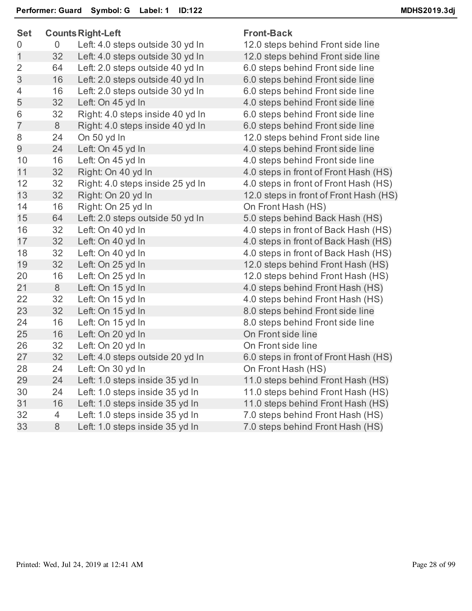| <b>Set</b>     |    | <b>Counts Right-Left</b>         | <b>Front-Back</b>    |
|----------------|----|----------------------------------|----------------------|
| 0              | 0  | Left: 4.0 steps outside 30 yd In | 12.0 steps behind    |
| $\mathbf 1$    | 32 | Left: 4.0 steps outside 30 yd In | 12.0 steps behind    |
| $\overline{2}$ | 64 | Left: 2.0 steps outside 40 yd In | 6.0 steps behind I   |
| 3              | 16 | Left: 2.0 steps outside 40 yd In | 6.0 steps behind I   |
| 4              | 16 | Left: 2.0 steps outside 30 yd In | 6.0 steps behind I   |
| 5              | 32 | Left: On 45 yd In                | 4.0 steps behind I   |
| 6              | 32 | Right: 4.0 steps inside 40 yd In | 6.0 steps behind I   |
| $\overline{7}$ | 8  | Right: 4.0 steps inside 40 yd In | 6.0 steps behind I   |
| 8              | 24 | On 50 yd In                      | 12.0 steps behind    |
| 9              | 24 | Left: On 45 yd In                | 4.0 steps behind I   |
| 10             | 16 | Left: On 45 yd In                | 4.0 steps behind I   |
| 11             | 32 | Right: On 40 yd In               | 4.0 steps in front o |
| 12             | 32 | Right: 4.0 steps inside 25 yd In | 4.0 steps in front o |
| 13             | 32 | Right: On 20 yd In               | 12.0 steps in front  |
| 14             | 16 | Right: On 25 yd In               | On Front Hash (H     |
| 15             | 64 | Left: 2.0 steps outside 50 yd In | 5.0 steps behind I   |
| 16             | 32 | Left: On 40 yd In                | 4.0 steps in front o |
| 17             | 32 | Left: On 40 yd In                | 4.0 steps in front o |
| 18             | 32 | Left: On 40 yd In                | 4.0 steps in front o |
| 19             | 32 | Left: On 25 yd In                | 12.0 steps behind    |
| 20             | 16 | Left: On 25 yd In                | 12.0 steps behind    |
| 21             | 8  | Left: On 15 yd In                | 4.0 steps behind I   |
| 22             | 32 | Left: On 15 yd In                | 4.0 steps behind I   |
| 23             | 32 | Left: On 15 yd In                | 8.0 steps behind I   |
| 24             | 16 | Left: On 15 yd In                | 8.0 steps behind I   |
| 25             | 16 | Left: On 20 yd In                | On Front side line   |
| 26             | 32 | Left: On 20 yd In                | On Front side line   |
| 27             | 32 | Left: 4.0 steps outside 20 yd In | 6.0 steps in front o |
| 28             | 24 | Left: On 30 yd In                | On Front Hash (H     |
| 29             | 24 | Left: 1.0 steps inside 35 yd In  | 11.0 steps behind    |
| 30             | 24 | Left: 1.0 steps inside 35 yd In  | 11.0 steps behind    |
| 31             | 16 | Left: 1.0 steps inside 35 yd In  | 11.0 steps behind    |
| 32             | 4  | Left: 1.0 steps inside 35 yd In  | 7.0 steps behind I   |
| 33             | 8  | Left: 1.0 steps inside 35 yd In  | 7.0 steps behind I   |
|                |    |                                  |                      |

s behind Front side line s behind Front side line behind Front side line behind Front side line behind Front side line behind Front side line behind Front side line behind Front side line s behind Front side line behind Front side line behind Front side line in front of Front Hash (HS) in front of Front Hash (HS) s in front of Front Hash (HS) Hash (HS) behind Back Hash (HS) in front of Back Hash (HS) in front of Back Hash (HS) in front of Back Hash (HS) s behind Front Hash (HS) s behind Front Hash (HS) behind Front Hash (HS) behind Front Hash (HS) behind Front side line behind Front side line in front of Front Hash (HS) Hash (HS) s behind Front Hash (HS) s behind Front Hash (HS) s behind Front Hash (HS) behind Front Hash (HS) behind Front Hash (HS)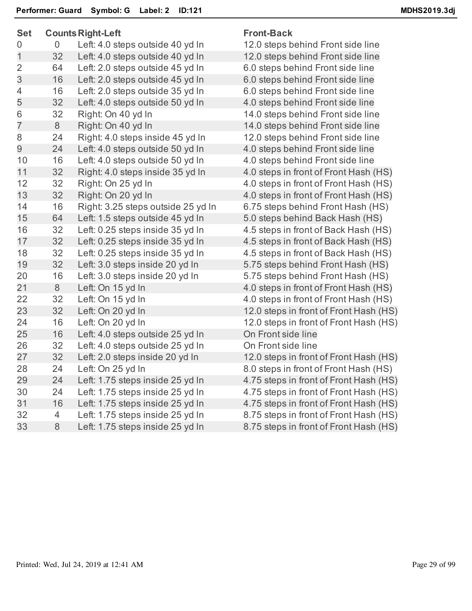| Set            |                | <b>Counts Right-Left</b>           | Fro  |
|----------------|----------------|------------------------------------|------|
| 0              | $\overline{0}$ | Left: 4.0 steps outside 40 yd In   | 12.0 |
| $\mathbf 1$    | 32             | Left: 4.0 steps outside 40 yd In   | 12.0 |
| $\overline{2}$ | 64             | Left: 2.0 steps outside 45 yd In   | 6.0  |
| 3              | 16             | Left: 2.0 steps outside 45 yd In   | 6.0  |
| $\overline{4}$ | 16             | Left: 2.0 steps outside 35 yd In   | 6.0  |
| 5              | 32             | Left: 4.0 steps outside 50 yd In   | 4.0  |
| 6              | 32             | Right: On 40 yd In                 | 14.0 |
| $\overline{7}$ | 8              | Right: On 40 yd In                 | 14.0 |
| 8              | 24             | Right: 4.0 steps inside 45 yd In   | 12.0 |
| 9              | 24             | Left: 4.0 steps outside 50 yd In   | 4.0  |
| 10             | 16             | Left: 4.0 steps outside 50 yd In   | 4.0  |
| 11             | 32             | Right: 4.0 steps inside 35 yd In   | 4.0  |
| 12             | 32             | Right: On 25 yd In                 | 4.0  |
| 13             | 32             | Right: On 20 yd In                 | 4.0  |
| 14             | 16             | Right: 3.25 steps outside 25 yd In | 6.75 |
| 15             | 64             | Left: 1.5 steps outside 45 yd In   | 5.0  |
| 16             | 32             | Left: 0.25 steps inside 35 yd In   | 4.5  |
| 17             | 32             | Left: 0.25 steps inside 35 yd In   | 4.5  |
| 18             | 32             | Left: 0.25 steps inside 35 yd In   | 4.5  |
| 19             | 32             | Left: 3.0 steps inside 20 yd In    | 5.75 |
| 20             | 16             | Left: 3.0 steps inside 20 yd In    | 5.75 |
| 21             | 8              | Left: On 15 yd In                  | 4.0  |
| 22             | 32             | Left: On 15 yd In                  | 4.0  |
| 23             | 32             | Left: On 20 yd In                  | 12.0 |
| 24             | 16             | Left: On 20 yd In                  | 12.0 |
| 25             | 16             | Left: 4.0 steps outside 25 yd In   | On   |
| 26             | 32             | Left: 4.0 steps outside 25 yd In   | On   |
| 27             | 32             | Left: 2.0 steps inside 20 yd In    | 12.0 |
| 28             | 24             | Left: On 25 yd In                  | 0.8  |
| 29             | 24             | Left: 1.75 steps inside 25 yd In   | 4.75 |
| 30             | 24             | Left: 1.75 steps inside 25 yd In   | 4.75 |
| 31             | 16             | Left: 1.75 steps inside 25 yd In   | 4.75 |
| 32             | $\overline{4}$ | Left: 1.75 steps inside 25 yd In   | 8.75 |
| 33             | 8              | Left: 1.75 steps inside 25 yd In   | 8.75 |
|                |                |                                    |      |

## **nt-Back**

0 steps behind Front side line 0 steps behind Front side line steps behind Front side line steps behind Front side line steps behind Front side line steps behind Front side line 0 steps behind Front side line 0 steps behind Front side line 0 steps behind Front side line steps behind Front side line steps behind Front side line steps in front of Front Hash (HS) steps in front of Front Hash (HS) steps in front of Front Hash (HS) 5 steps behind Front Hash (HS) steps behind Back Hash (HS) steps in front of Back Hash (HS) steps in front of Back Hash (HS) steps in front of Back Hash (HS) 5 steps behind Front Hash (HS) 5 steps behind Front Hash (HS) steps in front of Front Hash (HS) steps in front of Front Hash (HS) 0 steps in front of Front Hash (HS) 0 steps in front of Front Hash (HS) **Front side line Front side line** 0 steps in front of Front Hash (HS) steps in front of Front Hash (HS) 5 steps in front of Front Hash (HS) 5 steps in front of Front Hash (HS) 5 steps in front of Front Hash (HS) 5 steps in front of Front Hash (HS) 5 steps in front of Front Hash (HS)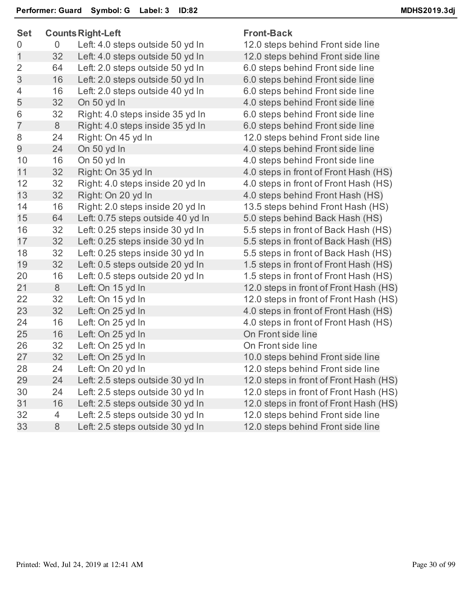| <b>Set</b>     |    | <b>Counts Right-Left</b>          | <b>Front-Back</b>                      |  |  |
|----------------|----|-----------------------------------|----------------------------------------|--|--|
| 0              | 0  | Left: 4.0 steps outside 50 yd In  | 12.0 steps behind Front side line      |  |  |
| 1              | 32 | Left: 4.0 steps outside 50 yd In  | 12.0 steps behind Front side line      |  |  |
| 2              | 64 | Left: 2.0 steps outside 50 yd In  | 6.0 steps behind Front side line       |  |  |
| 3              | 16 | Left: 2.0 steps outside 50 yd In  | 6.0 steps behind Front side line       |  |  |
| 4              | 16 | Left: 2.0 steps outside 40 yd In  | 6.0 steps behind Front side line       |  |  |
| 5              | 32 | On 50 yd In                       | 4.0 steps behind Front side line       |  |  |
| 6              | 32 | Right: 4.0 steps inside 35 yd In  | 6.0 steps behind Front side line       |  |  |
| $\overline{7}$ | 8  | Right: 4.0 steps inside 35 yd In  | 6.0 steps behind Front side line       |  |  |
| 8              | 24 | Right: On 45 yd In                | 12.0 steps behind Front side line      |  |  |
| 9              | 24 | On 50 yd In                       | 4.0 steps behind Front side line       |  |  |
| 10             | 16 | On 50 yd In                       | 4.0 steps behind Front side line       |  |  |
| 11             | 32 | Right: On 35 yd In                | 4.0 steps in front of Front Hash (HS)  |  |  |
| 12             | 32 | Right: 4.0 steps inside 20 yd In  | 4.0 steps in front of Front Hash (HS)  |  |  |
| 13             | 32 | Right: On 20 yd In                | 4.0 steps behind Front Hash (HS)       |  |  |
| 14             | 16 | Right: 2.0 steps inside 20 yd In  | 13.5 steps behind Front Hash (HS)      |  |  |
| 15             | 64 | Left: 0.75 steps outside 40 yd In | 5.0 steps behind Back Hash (HS)        |  |  |
| 16             | 32 | Left: 0.25 steps inside 30 yd In  | 5.5 steps in front of Back Hash (HS)   |  |  |
| 17             | 32 | Left: 0.25 steps inside 30 yd In  | 5.5 steps in front of Back Hash (HS)   |  |  |
| 18             | 32 | Left: 0.25 steps inside 30 yd In  | 5.5 steps in front of Back Hash (HS)   |  |  |
| 19             | 32 | Left: 0.5 steps outside 20 yd In  | 1.5 steps in front of Front Hash (HS)  |  |  |
| 20             | 16 | Left: 0.5 steps outside 20 yd In  | 1.5 steps in front of Front Hash (HS)  |  |  |
| 21             | 8  | Left: On 15 yd In                 | 12.0 steps in front of Front Hash (HS) |  |  |
| 22             | 32 | Left: On 15 yd In                 | 12.0 steps in front of Front Hash (HS) |  |  |
| 23             | 32 | Left: On 25 yd In                 | 4.0 steps in front of Front Hash (HS)  |  |  |
| 24             | 16 | Left: On 25 yd In                 | 4.0 steps in front of Front Hash (HS)  |  |  |
| 25             | 16 | Left: On 25 yd In                 | On Front side line                     |  |  |
| 26             | 32 | Left: On 25 yd In                 | On Front side line                     |  |  |
| 27             | 32 | Left: On 25 yd In                 | 10.0 steps behind Front side line      |  |  |
| 28             | 24 | Left: On 20 yd In                 | 12.0 steps behind Front side line      |  |  |
| 29             | 24 | Left: 2.5 steps outside 30 yd In  | 12.0 steps in front of Front Hash (HS) |  |  |
| 30             | 24 | Left: 2.5 steps outside 30 yd In  | 12.0 steps in front of Front Hash (HS) |  |  |
| 31             | 16 | Left: 2.5 steps outside 30 yd In  | 12.0 steps in front of Front Hash (HS) |  |  |
| 32             | 4  | Left: 2.5 steps outside 30 yd In  | 12.0 steps behind Front side line      |  |  |
| 33             | 8  | Left: 2.5 steps outside 30 yd In  | 12.0 steps behind Front side line      |  |  |
|                |    |                                   |                                        |  |  |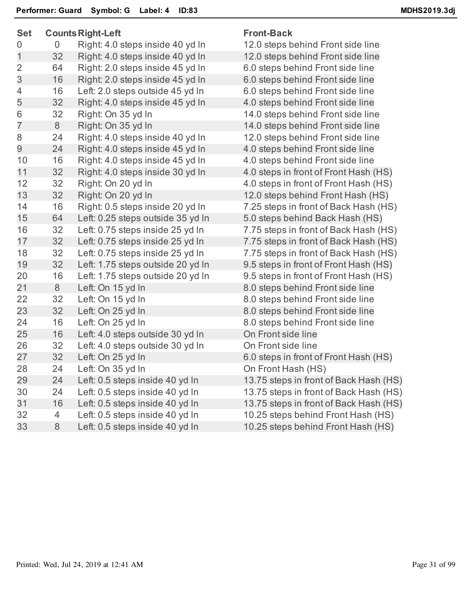| Set            |                | <b>Counts Right-Left</b>          |
|----------------|----------------|-----------------------------------|
| 0              | $\overline{0}$ | Right: 4.0 steps inside 40 yd In  |
| $\mathbf 1$    | 32             | Right: 4.0 steps inside 40 yd In  |
| 2              | 64             | Right: 2.0 steps inside 45 yd In  |
| 3              | 16             | Right: 2.0 steps inside 45 yd In  |
| 4              | 16             | Left: 2.0 steps outside 45 yd In  |
| 5              | 32             | Right: 4.0 steps inside 45 yd In  |
| 6              | 32             | Right: On 35 yd In                |
| $\overline{7}$ | 8              | Right: On 35 yd In                |
| 8              | 24             | Right: 4.0 steps inside 40 yd In  |
| 9              | 24             | Right: 4.0 steps inside 45 yd In  |
| 10             | 16             | Right: 4.0 steps inside 45 yd In  |
| 11             | 32             | Right: 4.0 steps inside 30 yd In  |
| 12             | 32             | Right: On 20 yd In                |
| 13             | 32             | Right: On 20 yd In                |
| 14             | 16             | Right: 0.5 steps inside 20 yd In  |
| 15             | 64             | Left: 0.25 steps outside 35 yd In |
| 16             | 32             | Left: 0.75 steps inside 25 yd In  |
| 17             | 32             | Left: 0.75 steps inside 25 yd In  |
| 18             | 32             | Left: 0.75 steps inside 25 yd In  |
| 19             | 32             | Left: 1.75 steps outside 20 yd In |
| 20             | 16             | Left: 1.75 steps outside 20 yd In |
| 21             | 8              | Left: On 15 yd In                 |
| 22             | 32             | Left: On 15 yd In                 |
| 23             | 32             | Left: On 25 yd In                 |
| 24             | 16             | Left: On 25 yd In                 |
| 25             | 16             | Left: 4.0 steps outside 30 yd In  |
| 26             | 32             | Left: 4.0 steps outside 30 yd In  |
| 27             | 32             | Left: On 25 yd In                 |
| 28             | 24             | Left: On 35 yd In                 |
| 29             | 24             | Left: 0.5 steps inside 40 yd In   |
| 30             | 24             | Left: 0.5 steps inside 40 yd In   |
| 31             | 16             | Left: 0.5 steps inside 40 yd In   |
| 32             | 4              | Left: 0.5 steps inside 40 yd In   |
| 33             | 8              | Left: 0.5 steps inside 40 yd In   |
|                |                |                                   |

# **Front-Back**

12.0 steps behind Front side line 12.0 steps behind Front side line 6.0 steps behind Front side line 6.0 steps behind Front side line 6.0 steps behind Front side line 4.0 steps behind Front side line 14.0 steps behind Front side line 14.0 steps behind Front side line 12.0 steps behind Front side line 4.0 steps behind Front side line 4.0 steps behind Front side line 4.0 steps in front of Front Hash (HS) 4.0 steps in front of Front Hash (HS) 12.0 steps behind Front Hash (HS) 7.25 steps in front of Back Hash (HS) 5.0 steps behind Back Hash (HS) 7.75 steps in front of Back Hash (HS) 7.75 steps in front of Back Hash (HS) 7.75 steps in front of Back Hash (HS) 9.5 steps in front of Front Hash (HS) 9.5 steps in front of Front Hash (HS) 8.0 steps behind Front side line 8.0 steps behind Front side line 8.0 steps behind Front side line 8.0 steps behind Front side line **On Front side line On Front side line** 6.0 steps in front of Front Hash (HS) On Front Hash (HS) 13.75 steps in front of Back Hash (HS) 13.75 steps in front of Back Hash (HS) 13.75 steps in front of Back Hash (HS) 10.25 steps behind Front Hash (HS) 10.25 steps behind Front Hash (HS)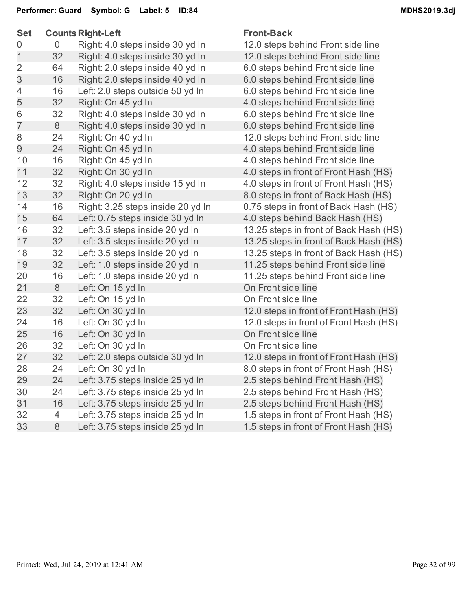| <b>Set</b>     |    | <b>Counts Right-Left</b>          | <b>Front-Back</b> |
|----------------|----|-----------------------------------|-------------------|
| 0              | 0  | Right: 4.0 steps inside 30 yd In  | 12.0 steps b      |
| $\overline{1}$ | 32 | Right: 4.0 steps inside 30 yd In  | 12.0 steps b      |
| $\overline{2}$ | 64 | Right: 2.0 steps inside 40 yd In  | 6.0 steps be      |
| 3              | 16 | Right: 2.0 steps inside 40 yd In  | 6.0 steps be      |
| 4              | 16 | Left: 2.0 steps outside 50 yd In  | 6.0 steps be      |
| 5              | 32 | Right: On 45 yd In                | 4.0 steps be      |
| 6              | 32 | Right: 4.0 steps inside 30 yd In  | 6.0 steps be      |
| $\overline{7}$ | 8  | Right: 4.0 steps inside 30 yd In  | 6.0 steps be      |
| 8              | 24 | Right: On 40 yd In                | 12.0 steps b      |
| 9              | 24 | Right: On 45 yd In                | 4.0 steps be      |
| 10             | 16 | Right: On 45 yd In                | 4.0 steps be      |
| 11             | 32 | Right: On 30 yd In                | 4.0 steps in      |
| 12             | 32 | Right: 4.0 steps inside 15 yd In  | 4.0 steps in      |
| 13             | 32 | Right: On 20 yd In                | 8.0 steps in      |
| 14             | 16 | Right: 3.25 steps inside 20 yd In | 0.75 steps in     |
| 15             | 64 | Left: 0.75 steps inside 30 yd In  | 4.0 steps be      |
| 16             | 32 | Left: 3.5 steps inside 20 yd In   | 13.25 steps       |
| 17             | 32 | Left: 3.5 steps inside 20 yd In   | 13.25 steps       |
| 18             | 32 | Left: 3.5 steps inside 20 yd In   | 13.25 steps       |
| 19             | 32 | Left: 1.0 steps inside 20 yd In   | 11.25 steps       |
| 20             | 16 | Left: 1.0 steps inside 20 yd In   | 11.25 steps       |
| 21             | 8  | Left: On 15 yd In                 | On Front sic      |
| 22             | 32 | Left: On 15 yd In                 | On Front sic      |
| 23             | 32 | Left: On 30 yd In                 | 12.0 steps in     |
| 24             | 16 | Left: On 30 yd In                 | 12.0 steps i      |
| 25             | 16 | Left: On 30 yd In                 | On Front sic      |
| 26             | 32 | Left: On 30 yd In                 | On Front sic      |
| 27             | 32 | Left: 2.0 steps outside 30 yd In  | 12.0 steps in     |
| 28             | 24 | Left: On 30 yd In                 | 8.0 steps in      |
| 29             | 24 | Left: 3.75 steps inside 25 yd In  | 2.5 steps be      |
| 30             | 24 | Left: 3.75 steps inside 25 yd In  | 2.5 steps be      |
| 31             | 16 | Left: 3.75 steps inside 25 yd In  | 2.5 steps be      |
| 32             | 4  | Left: 3.75 steps inside 25 yd In  | 1.5 steps in      |
| 33             | 8  | Left: 3.75 steps inside 25 yd In  | 1.5 steps in      |
|                |    |                                   |                   |

0 steps behind Front side line 1 steps behind Front side line steps behind Front side line steps behind Front side line steps behind Front side line steps behind Front side line steps behind Front side line steps behind Front side line 1 steps behind Front side line steps behind Front side line steps behind Front side line steps in front of Front Hash (HS) steps in front of Front Hash (HS) steps in front of Back Hash (HS) 5 steps in front of Back Hash (HS) steps behind Back Hash (HS) 15 steps in front of Back Hash (HS) 15 steps in front of Back Hash (HS) 25 steps in front of Back Hash (HS) 15 steps behind Front side line 25 steps behind Front side line Front side line Front side line 3 steps in front of Front Hash (HS) 3 steps in front of Front Hash (HS) Front side line Front side line 3 Steps in front of Front Hash (HS) steps in front of Front Hash (HS) steps behind Front Hash (HS) steps behind Front Hash (HS) steps behind Front Hash (HS) steps in front of Front Hash (HS) steps in front of Front Hash (HS)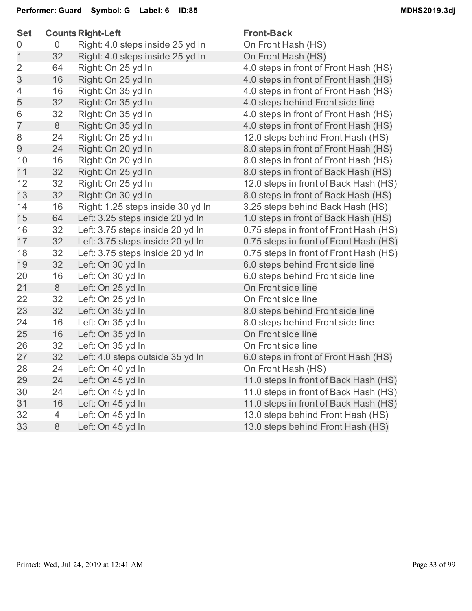| <b>Set</b>     |                | <b>Counts Right-Left</b>          | <b>Front-Back</b>                      |
|----------------|----------------|-----------------------------------|----------------------------------------|
| 0              | $\overline{0}$ | Right: 4.0 steps inside 25 yd In  | On Front Hash (HS)                     |
| $\mathbf 1$    | 32             | Right: 4.0 steps inside 25 yd In  | On Front Hash (HS)                     |
| $\overline{2}$ | 64             | Right: On 25 yd In                | 4.0 steps in front of Front Hash (HS)  |
| 3              | 16             | Right: On 25 yd In                | 4.0 steps in front of Front Hash (HS)  |
| 4              | 16             | Right: On 35 yd In                | 4.0 steps in front of Front Hash (HS)  |
| 5              | 32             | Right: On 35 yd In                | 4.0 steps behind Front side line       |
| 6              | 32             | Right: On 35 yd In                | 4.0 steps in front of Front Hash (HS)  |
| $\overline{7}$ | $\,8\,$        | Right: On 35 yd In                | 4.0 steps in front of Front Hash (HS)  |
| 8              | 24             | Right: On 25 yd In                | 12.0 steps behind Front Hash (HS)      |
| 9              | 24             | Right: On 20 yd In                | 8.0 steps in front of Front Hash (HS)  |
| 10             | 16             | Right: On 20 yd In                | 8.0 steps in front of Front Hash (HS)  |
| 11             | 32             | Right: On 25 yd In                | 8.0 steps in front of Back Hash (HS)   |
| 12             | 32             | Right: On 25 yd In                | 12.0 steps in front of Back Hash (HS)  |
| 13             | 32             | Right: On 30 yd In                | 8.0 steps in front of Back Hash (HS)   |
| 14             | 16             | Right: 1.25 steps inside 30 yd In | 3.25 steps behind Back Hash (HS)       |
| 15             | 64             | Left: 3.25 steps inside 20 yd In  | 1.0 steps in front of Back Hash (HS)   |
| 16             | 32             | Left: 3.75 steps inside 20 yd In  | 0.75 steps in front of Front Hash (HS) |
| 17             | 32             | Left: 3.75 steps inside 20 yd In  | 0.75 steps in front of Front Hash (HS) |
| 18             | 32             | Left: 3.75 steps inside 20 yd In  | 0.75 steps in front of Front Hash (HS) |
| 19             | 32             | Left: On 30 yd In                 | 6.0 steps behind Front side line       |
| 20             | 16             | Left: On 30 yd In                 | 6.0 steps behind Front side line       |
| 21             | $8\,$          | Left: On 25 yd In                 | On Front side line                     |
| 22             | 32             | Left: On 25 yd In                 | On Front side line                     |
| 23             | 32             | Left: On 35 yd In                 | 8.0 steps behind Front side line       |
| 24             | 16             | Left: On 35 yd In                 | 8.0 steps behind Front side line       |
| 25             | 16             | Left: On 35 yd In                 | On Front side line                     |
| 26             | 32             | Left: On 35 yd In                 | On Front side line                     |
| 27             | 32             | Left: 4.0 steps outside 35 yd In  | 6.0 steps in front of Front Hash (HS)  |
| 28             | 24             | Left: On 40 yd In                 | On Front Hash (HS)                     |
| 29             | 24             | Left: On 45 yd In                 | 11.0 steps in front of Back Hash (HS)  |
| 30             | 24             | Left: On 45 yd In                 | 11.0 steps in front of Back Hash (HS)  |
| 31             | 16             | Left: On 45 yd In                 | 11.0 steps in front of Back Hash (HS)  |
| 32             | $\overline{4}$ | Left: On 45 yd In                 | 13.0 steps behind Front Hash (HS)      |
| 33             | 8              | Left: On 45 yd In                 | 13.0 steps behind Front Hash (HS)      |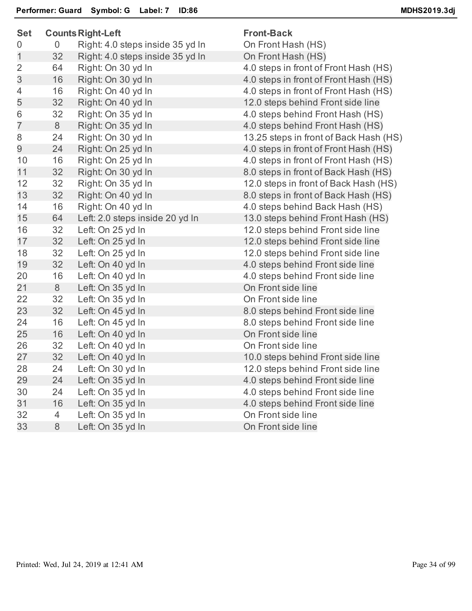| <b>Set</b>     |                | <b>Counts Right-Left</b>         | <b>Front-Back</b>                      |
|----------------|----------------|----------------------------------|----------------------------------------|
| $\overline{0}$ | $\overline{0}$ | Right: 4.0 steps inside 35 yd In | On Front Hash (HS)                     |
| $\mathbf 1$    | 32             | Right: 4.0 steps inside 35 yd In | On Front Hash (HS)                     |
| $\overline{2}$ | 64             | Right: On 30 yd In               | 4.0 steps in front of Front Hash (HS)  |
| 3              | 16             | Right: On 30 yd In               | 4.0 steps in front of Front Hash (HS)  |
| $\overline{4}$ | 16             | Right: On 40 yd In               | 4.0 steps in front of Front Hash (HS)  |
| 5              | 32             | Right: On 40 yd In               | 12.0 steps behind Front side line      |
| $6\,$          | 32             | Right: On 35 yd In               | 4.0 steps behind Front Hash (HS)       |
| $\overline{7}$ | 8              | Right: On 35 yd In               | 4.0 steps behind Front Hash (HS)       |
| 8              | 24             | Right: On 30 yd In               | 13.25 steps in front of Back Hash (HS) |
| $\overline{9}$ | 24             | Right: On 25 yd In               | 4.0 steps in front of Front Hash (HS)  |
| 10             | 16             | Right: On 25 yd In               | 4.0 steps in front of Front Hash (HS)  |
| 11             | 32             | Right: On 30 yd In               | 8.0 steps in front of Back Hash (HS)   |
| 12             | 32             | Right: On 35 yd In               | 12.0 steps in front of Back Hash (HS)  |
| 13             | 32             | Right: On 40 yd In               | 8.0 steps in front of Back Hash (HS)   |
| 14             | 16             | Right: On 40 yd In               | 4.0 steps behind Back Hash (HS)        |
| 15             | 64             | Left: 2.0 steps inside 20 yd In  | 13.0 steps behind Front Hash (HS)      |
| 16             | 32             | Left: On 25 yd In                | 12.0 steps behind Front side line      |
| 17             | 32             | Left: On 25 yd In                | 12.0 steps behind Front side line      |
| 18             | 32             | Left: On 25 yd In                | 12.0 steps behind Front side line      |
| 19             | 32             | Left: On 40 yd In                | 4.0 steps behind Front side line       |
| 20             | 16             | Left: On 40 yd In                | 4.0 steps behind Front side line       |
| 21             | 8              | Left: On 35 yd In                | On Front side line                     |
| 22             | 32             | Left: On 35 yd In                | On Front side line                     |
| 23             | 32             | Left: On 45 yd In                | 8.0 steps behind Front side line       |
| 24             | 16             | Left: On 45 yd In                | 8.0 steps behind Front side line       |
| 25             | 16             | Left: On 40 yd In                | On Front side line                     |
| 26             | 32             | Left: On 40 yd In                | On Front side line                     |
| 27             | 32             | Left: On 40 yd In                | 10.0 steps behind Front side line      |
| 28             | 24             | Left: On 30 yd In                | 12.0 steps behind Front side line      |
| 29             | 24             | Left: On 35 yd In                | 4.0 steps behind Front side line       |
| 30             | 24             | Left: On 35 yd In                | 4.0 steps behind Front side line       |
| 31             | 16             | Left: On 35 yd In                | 4.0 steps behind Front side line       |
| 32             | 4              | Left: On 35 yd In                | On Front side line                     |
| 33             | 8              | Left: On 35 yd In                | On Front side line                     |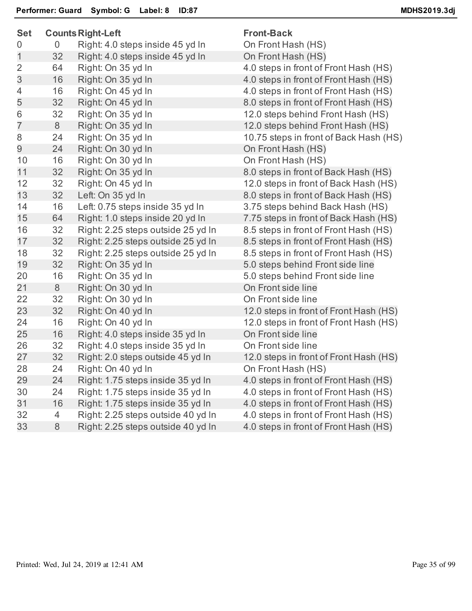| <b>Set</b>     |    | <b>Counts Right-Left</b>           | <b>Front-Back</b>       |
|----------------|----|------------------------------------|-------------------------|
| 0              | 0  | Right: 4.0 steps inside 45 yd In   | On Front Hash (HS)      |
| $\mathbf{1}$   | 32 | Right: 4.0 steps inside 45 yd In   | On Front Hash (HS)      |
| $\overline{2}$ | 64 | Right: On 35 yd In                 | 4.0 steps in front of I |
| 3              | 16 | Right: On 35 yd In                 | 4.0 steps in front of I |
| $\overline{4}$ | 16 | Right: On 45 yd In                 | 4.0 steps in front of I |
| 5              | 32 | Right: On 45 yd In                 | 8.0 steps in front of I |
| 6              | 32 | Right: On 35 yd In                 | 12.0 steps behind F     |
| $\overline{7}$ | 8  | Right: On 35 yd In                 | 12.0 steps behind F     |
| 8              | 24 | Right: On 35 yd In                 | 10.75 steps in front    |
| 9              | 24 | Right: On 30 yd In                 | On Front Hash (HS)      |
| 10             | 16 | Right: On 30 yd In                 | On Front Hash (HS)      |
| 11             | 32 | Right: On 35 yd In                 | 8.0 steps in front of I |
| 12             | 32 | Right: On 45 yd In                 | 12.0 steps in front of  |
| 13             | 32 | Left: On 35 yd In                  | 8.0 steps in front of I |
| 14             | 16 | Left: 0.75 steps inside 35 yd In   | 3.75 steps behind B     |
| 15             | 64 | Right: 1.0 steps inside 20 yd In   | 7.75 steps in front of  |
| 16             | 32 | Right: 2.25 steps outside 25 yd In | 8.5 steps in front of I |
| 17             | 32 | Right: 2.25 steps outside 25 yd In | 8.5 steps in front of I |
| 18             | 32 | Right: 2.25 steps outside 25 yd In | 8.5 steps in front of I |
| 19             | 32 | Right: On 35 yd In                 | 5.0 steps behind Fro    |
| 20             | 16 | Right: On 35 yd In                 | 5.0 steps behind Fro    |
| 21             | 8  | Right: On 30 yd In                 | On Front side line      |
| 22             | 32 | Right: On 30 yd In                 | On Front side line      |
| 23             | 32 | Right: On 40 yd In                 | 12.0 steps in front of  |
| 24             | 16 | Right: On 40 yd In                 | 12.0 steps in front of  |
| 25             | 16 | Right: 4.0 steps inside 35 yd In   | On Front side line      |
| 26             | 32 | Right: 4.0 steps inside 35 yd In   | On Front side line      |
| 27             | 32 | Right: 2.0 steps outside 45 yd In  | 12.0 steps in front of  |
| 28             | 24 | Right: On 40 yd In                 | On Front Hash (HS)      |
| 29             | 24 | Right: 1.75 steps inside 35 yd In  | 4.0 steps in front of I |
| 30             | 24 | Right: 1.75 steps inside 35 yd In  | 4.0 steps in front of I |
| 31             | 16 | Right: 1.75 steps inside 35 yd In  | 4.0 steps in front of I |
| 32             | 4  | Right: 2.25 steps outside 40 yd In | 4.0 steps in front of I |
| 33             | 8  | Right: 2.25 steps outside 40 yd In | 4.0 steps in front of I |
|                |    |                                    |                         |

ont of Front Hash (HS) ont of Front Hash (HS) ont of Front Hash (HS) ont of Front Hash (HS) hind Front Hash (HS) hind Front Hash (HS) 1 front of Back Hash (HS) ont of Back Hash (HS) front of Back Hash (HS) ont of Back Hash (HS) hind Back Hash (HS) front of Back Hash (HS) ont of Front Hash (HS) ont of Front Hash (HS) ont of Front Hash (HS) ind Front side line ind Front side line front of Front Hash (HS) front of Front Hash (HS) front of Front Hash (HS) ont of Front Hash (HS) ont of Front Hash (HS) ont of Front Hash (HS) ont of Front Hash (HS) ont of Front Hash (HS)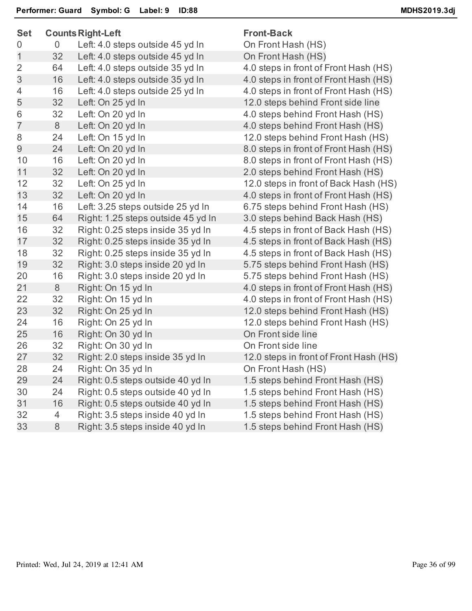| <b>Set</b>     |    | <b>Counts Right-Left</b>           | <b>Front-Back</b>                      |  |  |
|----------------|----|------------------------------------|----------------------------------------|--|--|
| 0              | 0  | Left: 4.0 steps outside 45 yd In   | On Front Hash (HS)                     |  |  |
| 1              | 32 | Left: 4.0 steps outside 45 yd In   | On Front Hash (HS)                     |  |  |
| $\overline{2}$ | 64 | Left: 4.0 steps outside 35 yd In   | 4.0 steps in front of Front Hash (HS)  |  |  |
| 3              | 16 | Left: 4.0 steps outside 35 yd In   | 4.0 steps in front of Front Hash (HS)  |  |  |
| 4              | 16 | Left: 4.0 steps outside 25 yd In   | 4.0 steps in front of Front Hash (HS)  |  |  |
| 5              | 32 | Left: On 25 yd In                  | 12.0 steps behind Front side line      |  |  |
| 6              | 32 | Left: On 20 yd In                  | 4.0 steps behind Front Hash (HS)       |  |  |
| $\overline{7}$ | 8  | Left: On 20 yd In                  | 4.0 steps behind Front Hash (HS)       |  |  |
| 8              | 24 | Left: On 15 yd In                  | 12.0 steps behind Front Hash (HS)      |  |  |
| 9              | 24 | Left: On 20 yd In                  | 8.0 steps in front of Front Hash (HS)  |  |  |
| 10             | 16 | Left: On 20 yd In                  | 8.0 steps in front of Front Hash (HS)  |  |  |
| 11             | 32 | Left: On 20 yd In                  | 2.0 steps behind Front Hash (HS)       |  |  |
| 12             | 32 | Left: On 25 yd In                  | 12.0 steps in front of Back Hash (HS)  |  |  |
| 13             | 32 | Left: On 20 yd In                  | 4.0 steps in front of Front Hash (HS)  |  |  |
| 14             | 16 | Left: 3.25 steps outside 25 yd In  | 6.75 steps behind Front Hash (HS)      |  |  |
| 15             | 64 | Right: 1.25 steps outside 45 yd In | 3.0 steps behind Back Hash (HS)        |  |  |
| 16             | 32 | Right: 0.25 steps inside 35 yd In  | 4.5 steps in front of Back Hash (HS)   |  |  |
| 17             | 32 | Right: 0.25 steps inside 35 yd In  | 4.5 steps in front of Back Hash (HS)   |  |  |
| 18             | 32 | Right: 0.25 steps inside 35 yd In  | 4.5 steps in front of Back Hash (HS)   |  |  |
| 19             | 32 | Right: 3.0 steps inside 20 yd In   | 5.75 steps behind Front Hash (HS)      |  |  |
| 20             | 16 | Right: 3.0 steps inside 20 yd In   | 5.75 steps behind Front Hash (HS)      |  |  |
| 21             | 8  | Right: On 15 yd In                 | 4.0 steps in front of Front Hash (HS)  |  |  |
| 22             | 32 | Right: On 15 yd In                 | 4.0 steps in front of Front Hash (HS)  |  |  |
| 23             | 32 | Right: On 25 yd In                 | 12.0 steps behind Front Hash (HS)      |  |  |
| 24             | 16 | Right: On 25 yd In                 | 12.0 steps behind Front Hash (HS)      |  |  |
| 25             | 16 | Right: On 30 yd In                 | On Front side line                     |  |  |
| 26             | 32 | Right: On 30 yd In                 | On Front side line                     |  |  |
| 27             | 32 | Right: 2.0 steps inside 35 yd In   | 12.0 steps in front of Front Hash (HS) |  |  |
| 28             | 24 | Right: On 35 yd In                 | On Front Hash (HS)                     |  |  |
| 29             | 24 | Right: 0.5 steps outside 40 yd In  | 1.5 steps behind Front Hash (HS)       |  |  |
| 30             | 24 | Right: 0.5 steps outside 40 yd In  | 1.5 steps behind Front Hash (HS)       |  |  |
| 31             | 16 | Right: 0.5 steps outside 40 yd In  | 1.5 steps behind Front Hash (HS)       |  |  |
| 32             | 4  | Right: 3.5 steps inside 40 yd In   | 1.5 steps behind Front Hash (HS)       |  |  |
| 33             | 8  | Right: 3.5 steps inside 40 yd In   | 1.5 steps behind Front Hash (HS)       |  |  |
|                |    |                                    |                                        |  |  |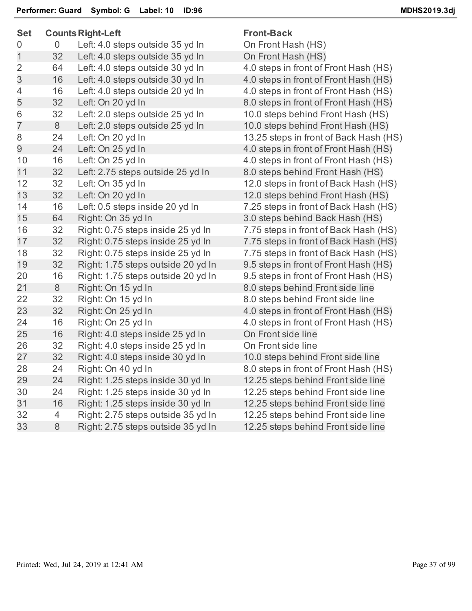| <b>Set</b>     | <b>Counts Right-Left</b> |                                    | <b>Front-Back</b>                      |  |  |
|----------------|--------------------------|------------------------------------|----------------------------------------|--|--|
| 0              | 0                        | Left: 4.0 steps outside 35 yd In   | On Front Hash (HS)                     |  |  |
| 1              | 32                       | Left: 4.0 steps outside 35 yd In   | On Front Hash (HS)                     |  |  |
| $\overline{2}$ | 64                       | Left: 4.0 steps outside 30 yd In   | 4.0 steps in front of Front Hash (HS)  |  |  |
| 3              | 16                       | Left: 4.0 steps outside 30 yd In   | 4.0 steps in front of Front Hash (HS)  |  |  |
| 4              | 16                       | Left: 4.0 steps outside 20 yd In   | 4.0 steps in front of Front Hash (HS)  |  |  |
| 5              | 32                       | Left: On 20 yd In                  | 8.0 steps in front of Front Hash (HS)  |  |  |
| 6              | 32                       | Left: 2.0 steps outside 25 yd In   | 10.0 steps behind Front Hash (HS)      |  |  |
| $\overline{7}$ | 8                        | Left: 2.0 steps outside 25 yd In   | 10.0 steps behind Front Hash (HS)      |  |  |
| 8              | 24                       | Left: On 20 yd In                  | 13.25 steps in front of Back Hash (HS) |  |  |
| 9              | 24                       | Left: On 25 yd In                  | 4.0 steps in front of Front Hash (HS)  |  |  |
| 10             | 16                       | Left: On 25 yd In                  | 4.0 steps in front of Front Hash (HS)  |  |  |
| 11             | 32                       | Left: 2.75 steps outside 25 yd In  | 8.0 steps behind Front Hash (HS)       |  |  |
| 12             | 32                       | Left: On 35 yd In                  | 12.0 steps in front of Back Hash (HS)  |  |  |
| 13             | 32                       | Left: On 20 yd In                  | 12.0 steps behind Front Hash (HS)      |  |  |
| 14             | 16                       | Left: 0.5 steps inside 20 yd In    | 7.25 steps in front of Back Hash (HS)  |  |  |
| 15             | 64                       | Right: On 35 yd In                 | 3.0 steps behind Back Hash (HS)        |  |  |
| 16             | 32                       | Right: 0.75 steps inside 25 yd In  | 7.75 steps in front of Back Hash (HS)  |  |  |
| 17             | 32                       | Right: 0.75 steps inside 25 yd In  | 7.75 steps in front of Back Hash (HS)  |  |  |
| 18             | 32                       | Right: 0.75 steps inside 25 yd In  | 7.75 steps in front of Back Hash (HS)  |  |  |
| 19             | 32                       | Right: 1.75 steps outside 20 yd In | 9.5 steps in front of Front Hash (HS)  |  |  |
| 20             | 16                       | Right: 1.75 steps outside 20 yd In | 9.5 steps in front of Front Hash (HS)  |  |  |
| 21             | 8                        | Right: On 15 yd In                 | 8.0 steps behind Front side line       |  |  |
| 22             | 32                       | Right: On 15 yd In                 | 8.0 steps behind Front side line       |  |  |
| 23             | 32                       | Right: On 25 yd In                 | 4.0 steps in front of Front Hash (HS)  |  |  |
| 24             | 16                       | Right: On 25 yd In                 | 4.0 steps in front of Front Hash (HS)  |  |  |
| 25             | 16                       | Right: 4.0 steps inside 25 yd In   | On Front side line                     |  |  |
| 26             | 32                       | Right: 4.0 steps inside 25 yd In   | On Front side line                     |  |  |
| 27             | 32                       | Right: 4.0 steps inside 30 yd In   | 10.0 steps behind Front side line      |  |  |
| 28             | 24                       | Right: On 40 yd In                 | 8.0 steps in front of Front Hash (HS)  |  |  |
| 29             | 24                       | Right: 1.25 steps inside 30 yd In  | 12.25 steps behind Front side line     |  |  |
| 30             | 24                       | Right: 1.25 steps inside 30 yd In  | 12.25 steps behind Front side line     |  |  |
| 31             | 16                       | Right: 1.25 steps inside 30 yd In  | 12.25 steps behind Front side line     |  |  |
| 32             | 4                        | Right: 2.75 steps outside 35 yd In | 12.25 steps behind Front side line     |  |  |
| 33             | 8                        | Right: 2.75 steps outside 35 yd In | 12.25 steps behind Front side line     |  |  |
|                |                          |                                    |                                        |  |  |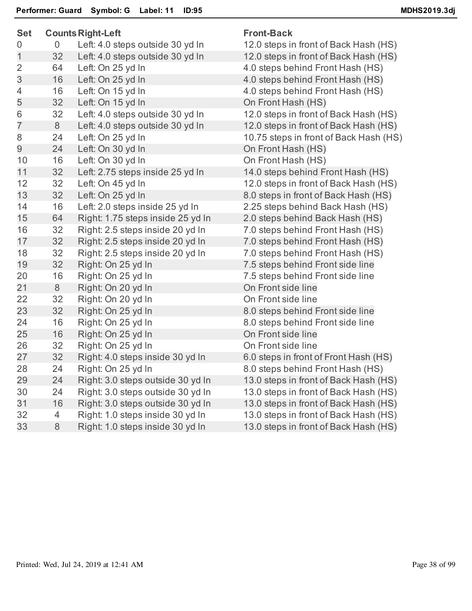| <b>Set</b>     |    | <b>Counts Right-Left</b>          | <b>Front-Back</b> |
|----------------|----|-----------------------------------|-------------------|
| 0              | 0  | Left: 4.0 steps outside 30 yd In  | 12.0 steps in     |
| $\mathbf{1}$   | 32 | Left: 4.0 steps outside 30 yd In  | 12.0 steps in     |
| $\overline{2}$ | 64 | Left: On 25 yd In                 | 4.0 steps be      |
| 3              | 16 | Left: On 25 yd In                 | 4.0 steps be      |
| 4              | 16 | Left: On 15 yd In                 | 4.0 steps be      |
| 5              | 32 | Left: On 15 yd In                 | On Front Ha       |
| 6              | 32 | Left: 4.0 steps outside 30 yd In  | 12.0 steps in     |
| $\overline{7}$ | 8  | Left: 4.0 steps outside 30 yd In  | 12.0 steps in     |
| 8              | 24 | Left: On 25 yd In                 | 10.75 steps       |
| 9              | 24 | Left: On 30 yd In                 | On Front Ha       |
| 10             | 16 | Left: On 30 yd In                 | On Front Ha       |
| 11             | 32 | Left: 2.75 steps inside 25 yd In  | 14.0 steps b      |
| 12             | 32 | Left: On 45 yd In                 | 12.0 steps in     |
| 13             | 32 | Left: On 25 yd In                 | 8.0 steps in      |
| 14             | 16 | Left: 2.0 steps inside 25 yd In   | 2.25 steps b      |
| 15             | 64 | Right: 1.75 steps inside 25 yd In | 2.0 steps be      |
| 16             | 32 | Right: 2.5 steps inside 20 yd In  | 7.0 steps be      |
| 17             | 32 | Right: 2.5 steps inside 20 yd In  | 7.0 steps be      |
| 18             | 32 | Right: 2.5 steps inside 20 yd In  | 7.0 steps be      |
| 19             | 32 | Right: On 25 yd In                | 7.5 steps be      |
| 20             | 16 | Right: On 25 yd In                | 7.5 steps be      |
| 21             | 8  | Right: On 20 yd In                | On Front sic      |
| 22             | 32 | Right: On 20 yd In                | On Front sic      |
| 23             | 32 | Right: On 25 yd In                | 8.0 steps be      |
| 24             | 16 | Right: On 25 yd In                | 8.0 steps be      |
| 25             | 16 | Right: On 25 yd In                | On Front sic      |
| 26             | 32 | Right: On 25 yd In                | On Front sic      |
| 27             | 32 | Right: 4.0 steps inside 30 yd In  | 6.0 steps in      |
| 28             | 24 | Right: On 25 yd In                | 8.0 steps be      |
| 29             | 24 | Right: 3.0 steps outside 30 yd In | 13.0 steps in     |
| 30             | 24 | Right: 3.0 steps outside 30 yd In | 13.0 steps in     |
| 31             | 16 | Right: 3.0 steps outside 30 yd In | 13.0 steps in     |
| 32             | 4  | Right: 1.0 steps inside 30 yd In  | 13.0 steps in     |
| 33             | 8  | Right: 1.0 steps inside 30 yd In  | 13.0 steps in     |
|                |    |                                   |                   |

teps in front of Back Hash (HS) teps in front of Back Hash (HS) eps behind Front Hash (HS) eps behind Front Hash (HS) eps behind Front Hash (HS) ont Hash (HS) teps in front of Back Hash (HS) teps in front of Back Hash (HS) steps in front of Back Hash (HS) ont Hash (HS) ont Hash (HS) teps behind Front Hash (HS) teps in front of Back Hash (HS) eps in front of Back Hash (HS) teps behind Back Hash (HS) eps behind Back Hash (HS) eps behind Front Hash (HS) eps behind Front Hash (HS) eps behind Front Hash (HS) eps behind Front side line eps behind Front side line ont side line ont side line eps behind Front side line eps behind Front side line ont side line ont side line eps in front of Front Hash (HS) eps behind Front Hash (HS) teps in front of Back Hash (HS). steps in front of Back Hash (HS). steps in front of Back Hash (HS). teps in front of Back Hash (HS) steps in front of Back Hash (HS)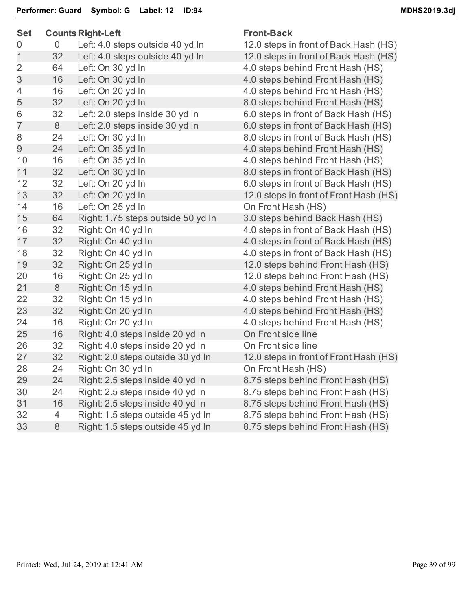| <b>Set</b>     |    | <b>Counts Right-Left</b>           | <b>Front-Back</b> |
|----------------|----|------------------------------------|-------------------|
| 0              | 0  | Left: 4.0 steps outside 40 yd In   | 12.0 steps in     |
| $\mathbf 1$    | 32 | Left: 4.0 steps outside 40 yd In   | 12.0 steps in     |
| $\overline{2}$ | 64 | Left: On 30 yd In                  | 4.0 steps be      |
| 3              | 16 | Left: On 30 yd In                  | 4.0 steps be      |
| 4              | 16 | Left: On 20 yd In                  | 4.0 steps be      |
| 5              | 32 | Left: On 20 yd In                  | 8.0 steps be      |
| 6              | 32 | Left: 2.0 steps inside 30 yd In    | 6.0 steps in      |
| $\overline{7}$ | 8  | Left: 2.0 steps inside 30 yd In    | 6.0 steps in      |
| 8              | 24 | Left: On 30 yd In                  | 8.0 steps in      |
| 9              | 24 | Left: On 35 yd In                  | 4.0 steps be      |
| 10             | 16 | Left: On 35 yd In                  | 4.0 steps be      |
| 11             | 32 | Left: On 30 yd In                  | 8.0 steps in      |
| 12             | 32 | Left: On 20 yd In                  | 6.0 steps in      |
| 13             | 32 | Left: On 20 yd In                  | 12.0 steps in     |
| 14             | 16 | Left: On 25 yd In                  | On Front Ha       |
| 15             | 64 | Right: 1.75 steps outside 50 yd In | 3.0 steps be      |
| 16             | 32 | Right: On 40 yd In                 | 4.0 steps in      |
| 17             | 32 | Right: On 40 yd In                 | 4.0 steps in      |
| 18             | 32 | Right: On 40 yd In                 | 4.0 steps in      |
| 19             | 32 | Right: On 25 yd In                 | 12.0 steps b      |
| 20             | 16 | Right: On 25 yd In                 | 12.0 steps b      |
| 21             | 8  | Right: On 15 yd In                 | 4.0 steps be      |
| 22             | 32 | Right: On 15 yd In                 | 4.0 steps be      |
| 23             | 32 | Right: On 20 yd In                 | 4.0 steps be      |
| 24             | 16 | Right: On 20 yd In                 | 4.0 steps be      |
| 25             | 16 | Right: 4.0 steps inside 20 yd In   | On Front sic      |
| 26             | 32 | Right: 4.0 steps inside 20 yd In   | On Front sic      |
| 27             | 32 | Right: 2.0 steps outside 30 yd In  | 12.0 steps in     |
| 28             | 24 | Right: On 30 yd In                 | On Front Ha       |
| 29             | 24 | Right: 2.5 steps inside 40 yd In   | 8.75 steps b      |
| 30             | 24 | Right: 2.5 steps inside 40 yd In   | 8.75 steps b      |
| 31             | 16 | Right: 2.5 steps inside 40 yd In   | 8.75 steps b      |
| 32             | 4  | Right: 1.5 steps outside 45 yd In  | 8.75 steps b      |
| 33             | 8  | Right: 1.5 steps outside 45 yd In  | 8.75 steps b      |
|                |    |                                    |                   |

steps in front of Back Hash (HS) steps in front of Back Hash (HS) steps behind Front Hash (HS) steps behind Front Hash (HS) steps behind Front Hash (HS) steps behind Front Hash (HS) steps in front of Back Hash (HS) steps in front of Back Hash (HS) steps in front of Back Hash (HS) steps behind Front Hash (HS) teps behind Front Hash (HS) teps in front of Back Hash (HS) steps in front of Back Hash (HS) steps in front of Front Hash (HS) Front Hash (HS) teps behind Back Hash (HS) steps in front of Back Hash (HS) steps in front of Back Hash (HS) steps in front of Back Hash (HS) steps behind Front Hash (HS) steps behind Front Hash (HS) teps behind Front Hash (HS) steps behind Front Hash (HS) steps behind Front Hash (HS) steps behind Front Hash (HS) Front side line Front side line steps in front of Front Hash (HS) Front Hash (HS) steps behind Front Hash (HS) steps behind Front Hash (HS) steps behind Front Hash (HS) steps behind Front Hash (HS) steps behind Front Hash (HS)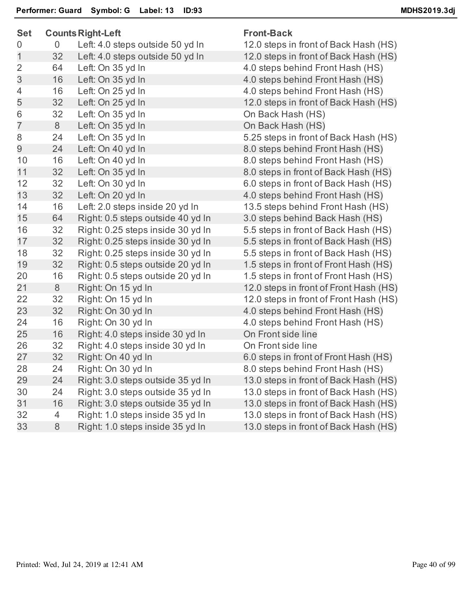| <b>Set</b>     |    | <b>Counts Right-Left</b>          | <b>Front-Back</b>     |
|----------------|----|-----------------------------------|-----------------------|
| 0              | 0  | Left: 4.0 steps outside 50 yd In  | 12.0 steps in front o |
| $\overline{1}$ | 32 | Left: 4.0 steps outside 50 yd In  | 12.0 steps in front o |
| $\overline{2}$ | 64 | Left: On 35 yd In                 | 4.0 steps behind Fro  |
| $\mathfrak{S}$ | 16 | Left: On 35 yd In                 | 4.0 steps behind Fro  |
| 4              | 16 | Left: On 25 yd In                 | 4.0 steps behind Fro  |
| 5              | 32 | Left: On 25 yd In                 | 12.0 steps in front o |
| 6              | 32 | Left: On 35 yd In                 | On Back Hash (HS)     |
| $\overline{7}$ | 8  | Left: On 35 yd In                 | On Back Hash (HS)     |
| 8              | 24 | Left: On 35 yd In                 | 5.25 steps in front o |
| 9              | 24 | Left: On 40 yd In                 | 8.0 steps behind Fro  |
| 10             | 16 | Left: On 40 yd In                 | 8.0 steps behind Fro  |
| 11             | 32 | Left: On 35 yd In                 | 8.0 steps in front of |
| 12             | 32 | Left: On 30 yd In                 | 6.0 steps in front of |
| 13             | 32 | Left: On 20 yd In                 | 4.0 steps behind Fro  |
| 14             | 16 | Left: 2.0 steps inside 20 yd In   | 13.5 steps behind F   |
| 15             | 64 | Right: 0.5 steps outside 40 yd In | 3.0 steps behind Ba   |
| 16             | 32 | Right: 0.25 steps inside 30 yd In | 5.5 steps in front of |
| 17             | 32 | Right: 0.25 steps inside 30 yd In | 5.5 steps in front of |
| 18             | 32 | Right: 0.25 steps inside 30 yd In | 5.5 steps in front of |
| 19             | 32 | Right: 0.5 steps outside 20 yd In | 1.5 steps in front of |
| 20             | 16 | Right: 0.5 steps outside 20 yd In | 1.5 steps in front of |
| 21             | 8  | Right: On 15 yd In                | 12.0 steps in front o |
| 22             | 32 | Right: On 15 yd In                | 12.0 steps in front o |
| 23             | 32 | Right: On 30 yd In                | 4.0 steps behind Fro  |
| 24             | 16 | Right: On 30 yd In                | 4.0 steps behind Fro  |
| 25             | 16 | Right: 4.0 steps inside 30 yd In  | On Front side line    |
| 26             | 32 | Right: 4.0 steps inside 30 yd In  | On Front side line    |
| 27             | 32 | Right: On 40 yd In                | 6.0 steps in front of |
| 28             | 24 | Right: On 30 yd In                | 8.0 steps behind Fro  |
| 29             | 24 | Right: 3.0 steps outside 35 yd In | 13.0 steps in front o |
| 30             | 24 | Right: 3.0 steps outside 35 yd In | 13.0 steps in front o |
| 31             | 16 | Right: 3.0 steps outside 35 yd In | 13.0 steps in front o |
| 32             | 4  | Right: 1.0 steps inside 35 yd In  | 13.0 steps in front o |
| 33             | 8  | Right: 1.0 steps inside 35 yd In  | 13.0 steps in front o |
|                |    |                                   |                       |

front of Back Hash (HS) front of Back Hash (HS) hind Front Hash (HS) hind Front Hash (HS) hind Front Hash (HS) front of Back Hash (HS) front of Back Hash (HS) hind Front Hash (HS) hind Front Hash (HS) front of Back Hash (HS) front of Back Hash (HS) hind Front Hash (HS) ehind Front Hash (HS). hind Back Hash (HS) front of Back Hash (HS) front of Back Hash (HS) front of Back Hash (HS) front of Front Hash (HS) front of Front Hash (HS) front of Front Hash (HS) front of Front Hash (HS) hind Front Hash (HS) hind Front Hash (HS) front of Front Hash (HS) hind Front Hash (HS) front of Back Hash (HS) front of Back Hash (HS) front of Back Hash (HS) front of Back Hash (HS) front of Back Hash (HS)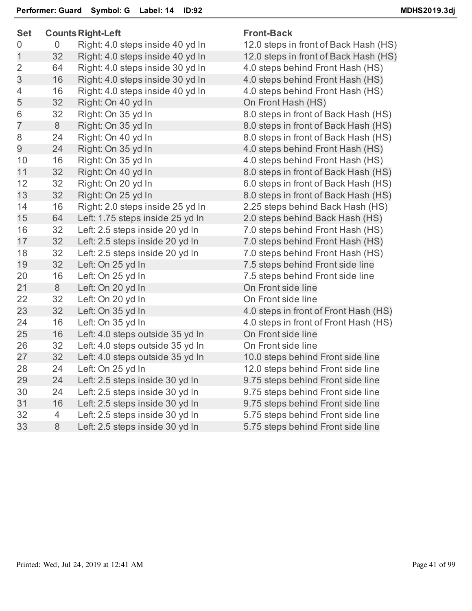| <b>Set</b>     |    | <b>Counts Right-Left</b>         | <b>Front-Back</b>       |
|----------------|----|----------------------------------|-------------------------|
| 0              | 0  | Right: 4.0 steps inside 40 yd In | 12.0 steps in front of  |
| $\mathbf 1$    | 32 | Right: 4.0 steps inside 40 yd In | 12.0 steps in front of  |
| $\overline{2}$ | 64 | Right: 4.0 steps inside 30 yd In | 4.0 steps behind Fro    |
| 3              | 16 | Right: 4.0 steps inside 30 yd In | 4.0 steps behind Fro    |
| $\overline{4}$ | 16 | Right: 4.0 steps inside 40 yd In | 4.0 steps behind Fro    |
| 5              | 32 | Right: On 40 yd In               | On Front Hash (HS)      |
| 6              | 32 | Right: On 35 yd In               | 8.0 steps in front of I |
| $\overline{7}$ | 8  | Right: On 35 yd In               | 8.0 steps in front of I |
| 8              | 24 | Right: On 40 yd In               | 8.0 steps in front of I |
| 9              | 24 | Right: On 35 yd In               | 4.0 steps behind Fro    |
| 10             | 16 | Right: On 35 yd In               | 4.0 steps behind Fro    |
| 11             | 32 | Right: On 40 yd In               | 8.0 steps in front of I |
| 12             | 32 | Right: On 20 yd In               | 6.0 steps in front of I |
| 13             | 32 | Right: On 25 yd In               | 8.0 steps in front of I |
| 14             | 16 | Right: 2.0 steps inside 25 yd In | 2.25 steps behind B     |
| 15             | 64 | Left: 1.75 steps inside 25 yd In | 2.0 steps behind Ba     |
| 16             | 32 | Left: 2.5 steps inside 20 yd In  | 7.0 steps behind Fro    |
| 17             | 32 | Left: 2.5 steps inside 20 yd In  | 7.0 steps behind Fro    |
| 18             | 32 | Left: 2.5 steps inside 20 yd In  | 7.0 steps behind Fro    |
| 19             | 32 | Left: On 25 yd In                | 7.5 steps behind Fro    |
| 20             | 16 | Left: On 25 yd In                | 7.5 steps behind Fro    |
| 21             | 8  | Left: On 20 yd In                | On Front side line      |
| 22             | 32 | Left: On 20 yd In                | On Front side line      |
| 23             | 32 | Left: On 35 yd In                | 4.0 steps in front of I |
| 24             | 16 | Left: On 35 yd In                | 4.0 steps in front of I |
| 25             | 16 | Left: 4.0 steps outside 35 yd In | On Front side line      |
| 26             | 32 | Left: 4.0 steps outside 35 yd In | On Front side line      |
| 27             | 32 | Left: 4.0 steps outside 35 yd In | 10.0 steps behind F     |
| 28             | 24 | Left: On 25 yd In                | 12.0 steps behind F     |
| 29             | 24 | Left: 2.5 steps inside 30 yd In  | 9.75 steps behind F     |
| 30             | 24 | Left: 2.5 steps inside 30 yd In  | 9.75 steps behind F     |
| 31             | 16 | Left: 2.5 steps inside 30 yd In  | 9.75 steps behind F     |
| 32             | 4  | Left: 2.5 steps inside 30 yd In  | 5.75 steps behind F     |
| 33             | 8  | Left: 2.5 steps inside 30 yd In  | 5.75 steps behind F     |
|                |    |                                  |                         |

front of Back Hash (HS) front of Back Hash (HS) hind Front Hash (HS) hind Front Hash (HS) hind Front Hash (HS) front of Back Hash (HS) front of Back Hash (HS) front of Back Hash (HS) hind Front Hash (HS) hind Front Hash (HS) front of Back Hash (HS) front of Back Hash (HS) front of Back Hash (HS) ehind Back Hash (HS) hind Back Hash (HS) hind Front Hash (HS) hind Front Hash (HS) hind Front Hash (HS) hind Front side line hind Front side line front of Front Hash (HS) front of Front Hash (HS) ehind Front side line ehind Front side line ehind Front side line ehind Front side line ehind Front side line ehind Front side line ehind Front side line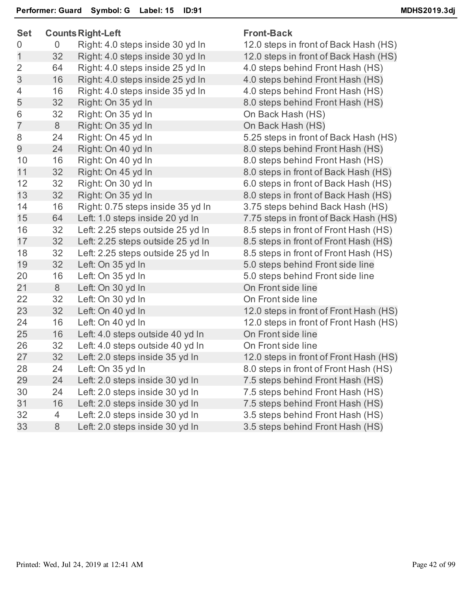| <b>Set</b>     |    | <b>Counts Right-Left</b>          | <b>Front-Back</b>     |
|----------------|----|-----------------------------------|-----------------------|
| 0              | 0  | Right: 4.0 steps inside 30 yd In  | 12.0 steps in front o |
| $\mathbf 1$    | 32 | Right: 4.0 steps inside 30 yd In  | 12.0 steps in front o |
| $\overline{2}$ | 64 | Right: 4.0 steps inside 25 yd In  | 4.0 steps behind Fro  |
| 3              | 16 | Right: 4.0 steps inside 25 yd In  | 4.0 steps behind Fro  |
| $\overline{4}$ | 16 | Right: 4.0 steps inside 35 yd In  | 4.0 steps behind Fro  |
| 5              | 32 | Right: On 35 yd In                | 8.0 steps behind Fro  |
| 6              | 32 | Right: On 35 yd In                | On Back Hash (HS)     |
| $\overline{7}$ | 8  | Right: On 35 yd In                | On Back Hash (HS)     |
| 8              | 24 | Right: On 45 yd In                | 5.25 steps in front o |
| 9              | 24 | Right: On 40 yd In                | 8.0 steps behind Fro  |
| 10             | 16 | Right: On 40 yd In                | 8.0 steps behind Fro  |
| 11             | 32 | Right: On 45 yd In                | 8.0 steps in front of |
| 12             | 32 | Right: On 30 yd In                | 6.0 steps in front of |
| 13             | 32 | Right: On 35 yd In                | 8.0 steps in front of |
| 14             | 16 | Right: 0.75 steps inside 35 yd In | 3.75 steps behind B   |
| 15             | 64 | Left: 1.0 steps inside 20 yd In   | 7.75 steps in front o |
| 16             | 32 | Left: 2.25 steps outside 25 yd In | 8.5 steps in front of |
| 17             | 32 | Left: 2.25 steps outside 25 yd In | 8.5 steps in front of |
| 18             | 32 | Left: 2.25 steps outside 25 yd In | 8.5 steps in front of |
| 19             | 32 | Left: On 35 yd In                 | 5.0 steps behind Fro  |
| 20             | 16 | Left: On 35 yd In                 | 5.0 steps behind Fro  |
| 21             | 8  | Left: On 30 yd In                 | On Front side line    |
| 22             | 32 | Left: On 30 yd In                 | On Front side line    |
| 23             | 32 | Left: On 40 yd In                 | 12.0 steps in front o |
| 24             | 16 | Left: On 40 yd In                 | 12.0 steps in front o |
| 25             | 16 | Left: 4.0 steps outside 40 yd In  | On Front side line    |
| 26             | 32 | Left: 4.0 steps outside 40 yd In  | On Front side line    |
| 27             | 32 | Left: 2.0 steps inside 35 yd In   | 12.0 steps in front o |
| 28             | 24 | Left: On 35 yd In                 | 8.0 steps in front of |
| 29             | 24 | Left: 2.0 steps inside 30 yd In   | 7.5 steps behind Fro  |
| 30             | 24 | Left: 2.0 steps inside 30 yd In   | 7.5 steps behind Fro  |
| 31             | 16 | Left: 2.0 steps inside 30 yd In   | 7.5 steps behind Fro  |
| 32             | 4  | Left: 2.0 steps inside 30 yd In   | 3.5 steps behind Fro  |
| 33             | 8  | Left: 2.0 steps inside 30 yd In   | 3.5 steps behind Fro  |
|                |    |                                   |                       |

front of Back Hash (HS) front of Back Hash (HS) hind Front Hash (HS) hind Front Hash (HS) hind Front Hash (HS) hind Front Hash (HS) front of Back Hash (HS) hind Front Hash (HS) hind Front Hash (HS) front of Back Hash (HS) front of Back Hash (HS) front of Back Hash (HS) ehind Back Hash (HS) front of Back Hash (HS) front of Front Hash (HS) front of Front Hash (HS) front of Front Hash (HS) hind Front side line hind Front side line front of Front Hash (HS) front of Front Hash (HS) front of Front Hash (HS) front of Front Hash (HS) hind Front Hash (HS) hind Front Hash (HS) hind Front Hash (HS) hind Front Hash (HS) hind Front Hash (HS)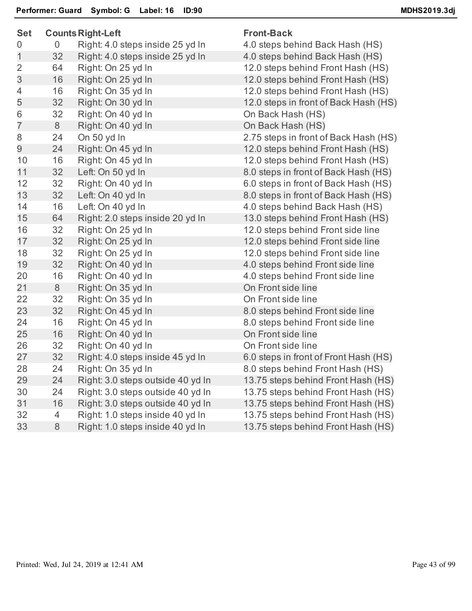| <b>Set</b>     |                | <b>Counts Right-Left</b>          | <b>Front-Back</b>                   |
|----------------|----------------|-----------------------------------|-------------------------------------|
| $\mathbf 0$    | 0              | Right: 4.0 steps inside 25 yd In  | 4.0 steps behind Back Hash (HS)     |
| $\mathbf 1$    | 32             | Right: 4.0 steps inside 25 yd In  | 4.0 steps behind Back Hash (HS)     |
| $\overline{2}$ | 64             | Right: On 25 yd In                | 12.0 steps behind Front Hash (HS    |
| 3              | 16             | Right: On 25 yd In                | 12.0 steps behind Front Hash (HS    |
| 4              | 16             | Right: On 35 yd In                | 12.0 steps behind Front Hash (HS    |
| 5              | 32             | Right: On 30 yd In                | 12.0 steps in front of Back Hash (I |
| 6              | 32             | Right: On 40 yd In                | On Back Hash (HS)                   |
| $\overline{7}$ | 8              | Right: On 40 yd In                | On Back Hash (HS)                   |
| 8              | 24             | On 50 yd In                       | 2.75 steps in front of Back Hash (I |
| 9              | 24             | Right: On 45 yd In                | 12.0 steps behind Front Hash (HS    |
| 10             | 16             | Right: On 45 yd In                | 12.0 steps behind Front Hash (HS    |
| 11             | 32             | Left: On 50 yd In                 | 8.0 steps in front of Back Hash (H) |
| 12             | 32             | Right: On 40 yd In                | 6.0 steps in front of Back Hash (H) |
| 13             | 32             | Left: On 40 yd In                 | 8.0 steps in front of Back Hash (H) |
| 14             | 16             | Left: On 40 yd In                 | 4.0 steps behind Back Hash (HS)     |
| 15             | 64             | Right: 2.0 steps inside 20 yd In  | 13.0 steps behind Front Hash (HS    |
| 16             | 32             | Right: On 25 yd In                | 12.0 steps behind Front side line   |
| 17             | 32             | Right: On 25 yd In                | 12.0 steps behind Front side line   |
| 18             | 32             | Right: On 25 yd In                | 12.0 steps behind Front side line   |
| 19             | 32             | Right: On 40 yd In                | 4.0 steps behind Front side line    |
| 20             | 16             | Right: On 40 yd In                | 4.0 steps behind Front side line    |
| 21             | $8\phantom{1}$ | Right: On 35 yd In                | On Front side line                  |
| 22             | 32             | Right: On 35 yd In                | On Front side line                  |
| 23             | 32             | Right: On 45 yd In                | 8.0 steps behind Front side line    |
| 24             | 16             | Right: On 45 yd In                | 8.0 steps behind Front side line    |
| 25             | 16             | Right: On 40 yd In                | On Front side line                  |
| 26             | 32             | Right: On 40 yd In                | On Front side line                  |
| 27             | 32             | Right: 4.0 steps inside 45 yd In  | 6.0 steps in front of Front Hash (H |
| 28             | 24             | Right: On 35 yd In                | 8.0 steps behind Front Hash (HS)    |
| 29             | 24             | Right: 3.0 steps outside 40 yd In | 13.75 steps behind Front Hash (H    |
| 30             | 24             | Right: 3.0 steps outside 40 yd In | 13.75 steps behind Front Hash (H    |
| 31             | 16             | Right: 3.0 steps outside 40 yd In | 13.75 steps behind Front Hash (H    |
| 32             | 4              | Right: 1.0 steps inside 40 yd In  | 13.75 steps behind Front Hash (H    |
| 33             | 8              | Right: 1.0 steps inside 40 yd In  | 13.75 steps behind Front Hash (H    |

ind Back Hash (HS) hind Front Hash (HS) hind Front Hash (HS) hind Front Hash (HS) front of Back Hash (HS) front of Back Hash (HS) hind Front Hash (HS) hind Front Hash (HS) ont of Back Hash (HS) ont of Back Hash (HS) ont of Back Hash (HS) ind Back Hash (HS) hind Front Hash (HS) hind Front side line hind Front side line hind Front side line nd Front side line ind Front side line ind Front side line ind Front side line ont of Front Hash (HS) ind Front Hash (HS) ehind Front Hash (HS) ehind Front Hash (HS) ehind Front Hash (HS) ehind Front Hash (HS) ehind Front Hash (HS)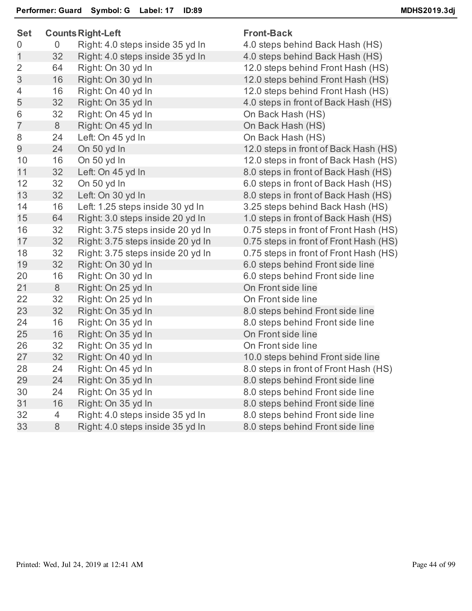| <b>Set</b>     | <b>Counts Right-Left</b> |                                   | <b>Front-Back</b>                      |  |
|----------------|--------------------------|-----------------------------------|----------------------------------------|--|
| 0              | $\mathbf 0$              | Right: 4.0 steps inside 35 yd In  | 4.0 steps behind Back Hash (HS)        |  |
| $\mathbf 1$    | 32                       | Right: 4.0 steps inside 35 yd In  | 4.0 steps behind Back Hash (HS)        |  |
| $\overline{2}$ | 64                       | Right: On 30 yd In                | 12.0 steps behind Front Hash (HS)      |  |
| 3              | 16                       | Right: On 30 yd In                | 12.0 steps behind Front Hash (HS)      |  |
| 4              | 16                       | Right: On 40 yd In                | 12.0 steps behind Front Hash (HS)      |  |
| 5              | 32                       | Right: On 35 yd In                | 4.0 steps in front of Back Hash (HS)   |  |
| 6              | 32                       | Right: On 45 yd In                | On Back Hash (HS)                      |  |
| $\overline{7}$ | 8                        | Right: On 45 yd In                | On Back Hash (HS)                      |  |
| 8              | 24                       | Left: On 45 yd In                 | On Back Hash (HS)                      |  |
| 9              | 24                       | On 50 yd In                       | 12.0 steps in front of Back Hash (HS)  |  |
| 10             | 16                       | On 50 yd In                       | 12.0 steps in front of Back Hash (HS)  |  |
| 11             | 32                       | Left: On 45 yd In                 | 8.0 steps in front of Back Hash (HS)   |  |
| 12             | 32                       | On 50 yd In                       | 6.0 steps in front of Back Hash (HS)   |  |
| 13             | 32                       | Left: On 30 yd In                 | 8.0 steps in front of Back Hash (HS)   |  |
| 14             | 16                       | Left: 1.25 steps inside 30 yd In  | 3.25 steps behind Back Hash (HS)       |  |
| 15             | 64                       | Right: 3.0 steps inside 20 yd In  | 1.0 steps in front of Back Hash (HS)   |  |
| 16             | 32                       | Right: 3.75 steps inside 20 yd In | 0.75 steps in front of Front Hash (HS) |  |
| 17             | 32                       | Right: 3.75 steps inside 20 yd In | 0.75 steps in front of Front Hash (HS) |  |
| 18             | 32                       | Right: 3.75 steps inside 20 yd In | 0.75 steps in front of Front Hash (HS) |  |
| 19             | 32                       | Right: On 30 yd In                | 6.0 steps behind Front side line       |  |
| 20             | 16                       | Right: On 30 yd In                | 6.0 steps behind Front side line       |  |
| 21             | 8                        | Right: On 25 yd In                | On Front side line                     |  |
| 22             | 32                       | Right: On 25 yd In                | On Front side line                     |  |
| 23             | 32                       | Right: On 35 yd In                | 8.0 steps behind Front side line       |  |
| 24             | 16                       | Right: On 35 yd In                | 8.0 steps behind Front side line       |  |
| 25             | 16                       | Right: On 35 yd In                | On Front side line                     |  |
| 26             | 32                       | Right: On 35 yd In                | On Front side line                     |  |
| 27             | 32                       | Right: On 40 yd In                | 10.0 steps behind Front side line      |  |
| 28             | 24                       | Right: On 45 yd In                | 8.0 steps in front of Front Hash (HS)  |  |
| 29             | 24                       | Right: On 35 yd In                | 8.0 steps behind Front side line       |  |
| 30             | 24                       | Right: On 35 yd In                | 8.0 steps behind Front side line       |  |
| 31             | 16                       | Right: On 35 yd In                | 8.0 steps behind Front side line       |  |
| 32             | $\overline{4}$           | Right: 4.0 steps inside 35 yd In  | 8.0 steps behind Front side line       |  |
| 33             | 8                        | Right: 4.0 steps inside 35 yd In  | 8.0 steps behind Front side line       |  |